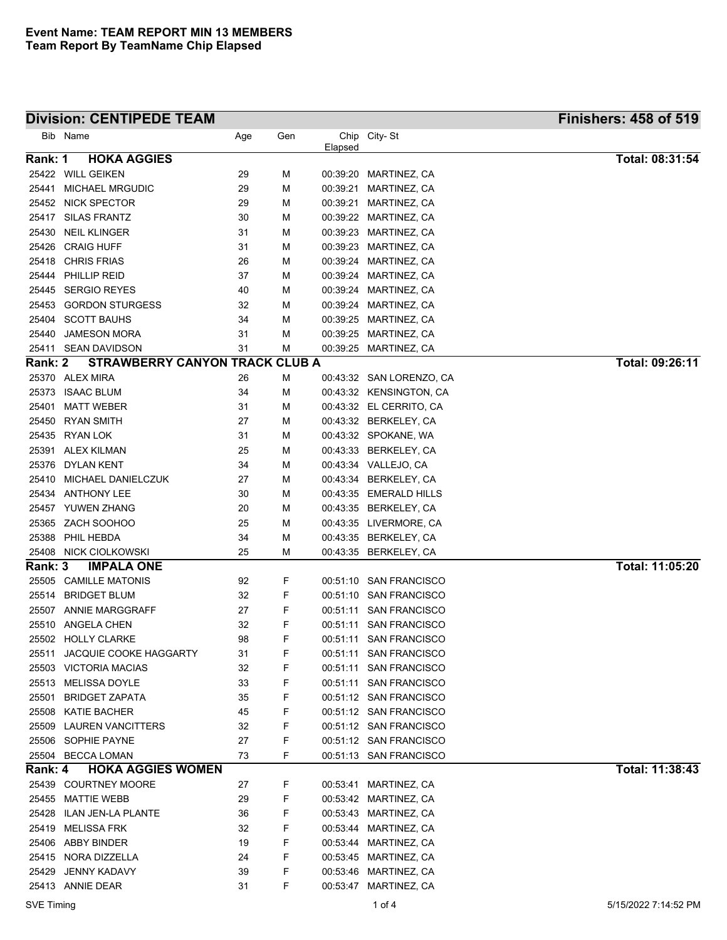## **Division: CENTIPEDE TEAM**

| <b>Finishers: 458 of 519</b> |  |
|------------------------------|--|
|------------------------------|--|

|         | Bib Name                       | Age | Gen | Elapsed  | Chip City-St             |                        |
|---------|--------------------------------|-----|-----|----------|--------------------------|------------------------|
| Rank: 1 | <b>HOKA AGGIES</b>             |     |     |          |                          | Total: 08:31:54        |
|         | 25422 WILL GEIKEN              | 29  | м   | 00:39:20 | MARTINEZ, CA             |                        |
| 25441   | <b>MICHAEL MRGUDIC</b>         | 29  | м   | 00:39:21 | MARTINEZ, CA             |                        |
|         | 25452 NICK SPECTOR             | 29  | м   | 00:39:21 | MARTINEZ, CA             |                        |
|         | 25417 SILAS FRANTZ             | 30  | м   |          | 00:39:22 MARTINEZ, CA    |                        |
| 25430   | <b>NEIL KLINGER</b>            | 31  | м   |          | 00:39:23 MARTINEZ, CA    |                        |
| 25426   | <b>CRAIG HUFF</b>              | 31  | м   |          | 00:39:23 MARTINEZ, CA    |                        |
| 25418   | <b>CHRIS FRIAS</b>             | 26  | м   |          | 00:39:24 MARTINEZ, CA    |                        |
|         | 25444 PHILLIP REID             | 37  | м   |          | 00:39:24 MARTINEZ, CA    |                        |
|         | 25445 SERGIO REYES             | 40  | м   |          | 00:39:24 MARTINEZ, CA    |                        |
| 25453   | <b>GORDON STURGESS</b>         | 32  | м   |          | 00:39:24 MARTINEZ, CA    |                        |
| 25404   | <b>SCOTT BAUHS</b>             | 34  | м   |          | 00:39:25 MARTINEZ, CA    |                        |
| 25440   | <b>JAMESON MORA</b>            | 31  | M   |          | 00:39:25 MARTINEZ, CA    |                        |
| 25411   | <b>SEAN DAVIDSON</b>           | 31  | М   |          | 00:39:25 MARTINEZ, CA    |                        |
| Rank: 2 | STRAWBERRY CANYON TRACK CLUB A |     |     |          |                          | Total: 09:26:11        |
|         | 25370 ALEX MIRA                | 26  | м   |          | 00:43:32 SAN LORENZO, CA |                        |
| 25373   | <b>ISAAC BLUM</b>              | 34  | м   |          | 00:43:32 KENSINGTON, CA  |                        |
| 25401   | <b>MATT WEBER</b>              | 31  | м   |          | 00:43:32 EL CERRITO, CA  |                        |
| 25450   | <b>RYAN SMITH</b>              | 27  | м   |          | 00:43:32 BERKELEY, CA    |                        |
|         | 25435 RYAN LOK                 | 31  | м   |          | 00:43:32 SPOKANE, WA     |                        |
| 25391   | ALEX KILMAN                    | 25  | м   |          | 00:43:33 BERKELEY, CA    |                        |
| 25376   | <b>DYLAN KENT</b>              | 34  | M   |          | 00:43:34 VALLEJO, CA     |                        |
| 25410   | MICHAEL DANIELCZUK             | 27  | M   |          | 00:43:34 BERKELEY, CA    |                        |
| 25434   | <b>ANTHONY LEE</b>             | 30  | M   |          | 00:43:35 EMERALD HILLS   |                        |
|         | 25457 YUWEN ZHANG              | 20  | M   |          | 00:43:35 BERKELEY, CA    |                        |
| 25365   | ZACH SOOHOO                    | 25  | M   |          | 00:43:35 LIVERMORE, CA   |                        |
| 25388   | PHIL HEBDA                     | 34  | M   |          | 00:43:35 BERKELEY, CA    |                        |
| 25408   | <b>NICK CIOLKOWSKI</b>         | 25  | М   |          | 00:43:35 BERKELEY, CA    |                        |
| Rank: 3 | <b>IMPALA ONE</b>              |     |     |          |                          | <b>Total: 11:05:20</b> |
|         | 25505 CAMILLE MATONIS          | 92  | F   |          | 00:51:10 SAN FRANCISCO   |                        |
| 25514   | <b>BRIDGET BLUM</b>            | 32  | F   |          | 00:51:10 SAN FRANCISCO   |                        |
|         | 25507 ANNIE MARGGRAFF          | 27  | F   | 00:51:11 | <b>SAN FRANCISCO</b>     |                        |
| 25510   | ANGELA CHEN                    | 32  | F   | 00:51:11 | <b>SAN FRANCISCO</b>     |                        |
|         | 25502 HOLLY CLARKE             | 98  | F   | 00:51:11 | <b>SAN FRANCISCO</b>     |                        |
| 25511   | JACQUIE COOKE HAGGARTY         | 31  | F   | 00:51:11 | <b>SAN FRANCISCO</b>     |                        |
|         | 25503 VICTORIA MACIAS          | 32  | F   |          | 00:51:11 SAN FRANCISCO   |                        |
|         | 25513 MELISSA DOYLE            | 33  | F   |          | 00:51:11 SAN FRANCISCO   |                        |
|         | 25501 BRIDGET ZAPATA           | 35  | F   |          | 00:51:12 SAN FRANCISCO   |                        |
|         | 25508 KATIE BACHER             | 45  | F   |          | 00:51:12 SAN FRANCISCO   |                        |
|         | 25509 LAUREN VANCITTERS        | 32  | F   |          | 00:51:12 SAN FRANCISCO   |                        |
|         | 25506 SOPHIE PAYNE             | 27  | F   |          | 00:51:12 SAN FRANCISCO   |                        |
|         | 25504 BECCA LOMAN              | 73  | F   |          | 00:51:13 SAN FRANCISCO   |                        |
| Rank: 4 | <b>HOKA AGGIES WOMEN</b>       |     |     |          |                          | Total: 11:38:43        |
|         | 25439 COURTNEY MOORE           | 27  | F   |          | 00:53:41 MARTINEZ, CA    |                        |
|         | 25455 MATTIE WEBB              | 29  | F   |          | 00.53:42 MARTINEZ, CA    |                        |
|         | 25428 ILAN JEN-LA PLANTE       | 36  | F   |          | 00:53:43 MARTINEZ, CA    |                        |
|         | 25419 MELISSA FRK              | 32  | F   |          | 00:53:44 MARTINEZ, CA    |                        |
|         | 25406 ABBY BINDER              | 19  | F   |          | 00:53:44 MARTINEZ, CA    |                        |
|         | 25415 NORA DIZZELLA            | 24  | F   |          | 00:53:45 MARTINEZ, CA    |                        |
| 25429   | JENNY KADAVY                   | 39  | F   |          | 00:53:46 MARTINEZ, CA    |                        |
|         | 25413 ANNIE DEAR               | 31  | F   |          | 00:53:47 MARTINEZ, CA    |                        |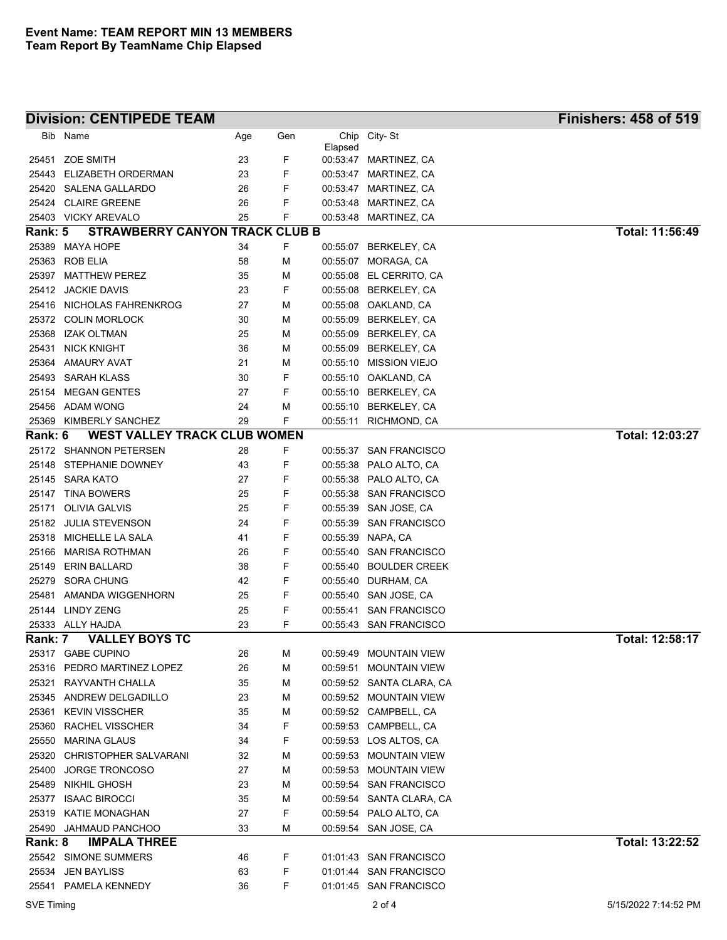|         | <b>Division: CENTIPEDE TEAM</b>            |          |        |          |                                                | <b>Finishers: 458 of 519</b> |
|---------|--------------------------------------------|----------|--------|----------|------------------------------------------------|------------------------------|
| Bib     | Name                                       | Age      | Gen    | Chip     | City-St                                        |                              |
|         |                                            |          |        | Elapsed  |                                                |                              |
|         | 25451 ZOE SMITH                            | 23       | F      |          | 00:53:47 MARTINEZ, CA                          |                              |
| 25443   | ELIZABETH ORDERMAN                         | 23       | F      |          | 00:53:47 MARTINEZ, CA                          |                              |
|         | 25420 SALENA GALLARDO                      | 26       | F<br>F |          | 00:53:47 MARTINEZ, CA                          |                              |
|         | 25424 CLAIRE GREENE<br>25403 VICKY AREVALO | 26<br>25 | F      |          | 00:53:48 MARTINEZ, CA<br>00:53:48 MARTINEZ, CA |                              |
| Rank: 5 | <b>STRAWBERRY CANYON TRACK CLUB B</b>      |          |        |          |                                                | Total: 11:56:49              |
| 25389   | MAYA HOPE                                  | 34       | F      |          | 00:55:07 BERKELEY, CA                          |                              |
| 25363   | <b>ROB ELIA</b>                            | 58       | M      |          | 00:55:07 MORAGA, CA                            |                              |
| 25397   | <b>MATTHEW PEREZ</b>                       | 35       | M      |          | 00:55:08 EL CERRITO, CA                        |                              |
| 25412   | <b>JACKIE DAVIS</b>                        | 23       | F      |          | 00:55:08 BERKELEY, CA                          |                              |
| 25416   | NICHOLAS FAHRENKROG                        | 27       | М      |          | 00:55:08 OAKLAND, CA                           |                              |
|         | 25372 COLIN MORLOCK                        | 30       | M      | 00:55:09 | BERKELEY, CA                                   |                              |
| 25368   | <b>IZAK OLTMAN</b>                         | 25       | М      |          | 00:55:09 BERKELEY, CA                          |                              |
| 25431   | <b>NICK KNIGHT</b>                         | 36       | М      |          | 00:55:09 BERKELEY, CA                          |                              |
| 25364   | AMAURY AVAT                                | 21       | М      |          | 00:55:10 MISSION VIEJO                         |                              |
|         | 25493 SARAH KLASS                          | 30       | F      |          | 00:55:10 OAKLAND, CA                           |                              |
| 25154   | <b>MEGAN GENTES</b>                        | 27       | F      |          | 00:55:10 BERKELEY, CA                          |                              |
|         | 25456 ADAM WONG                            | 24       | М      |          | 00:55:10 BERKELEY, CA                          |                              |
| 25369   | KIMBERLY SANCHEZ                           | 29       | F      |          | 00:55:11 RICHMOND, CA                          |                              |
| Rank: 6 | <b>WEST VALLEY TRACK CLUB WOMEN</b>        |          |        |          |                                                | Total: 12:03:27              |
|         | 25172 SHANNON PETERSEN                     | 28       | F      |          | 00:55:37 SAN FRANCISCO                         |                              |
|         | 25148 STEPHANIE DOWNEY                     | 43       | F      |          | 00:55:38 PALO ALTO, CA                         |                              |
|         | 25145 SARA KATO                            | 27       | F      |          | 00:55:38 PALO ALTO, CA                         |                              |
|         | 25147 TINA BOWERS                          | 25       | F      |          | 00:55:38 SAN FRANCISCO                         |                              |
| 25171   | <b>OLIVIA GALVIS</b>                       | 25       | F      |          | 00:55:39 SAN JOSE, CA                          |                              |
|         | 25182 JULIA STEVENSON                      | 24       | F      |          | 00:55:39 SAN FRANCISCO                         |                              |
|         | 25318 MICHELLE LA SALA                     | 41       | F      |          | 00:55:39 NAPA, CA                              |                              |
| 25166   | MARISA ROTHMAN                             | 26       | F      |          | 00:55:40 SAN FRANCISCO                         |                              |
| 25149   | <b>ERIN BALLARD</b>                        | 38       | F      |          | 00:55:40 BOULDER CREEK                         |                              |
|         | 25279 SORA CHUNG                           | 42       | F      |          | 00:55:40 DURHAM, CA                            |                              |
| 25481   | AMANDA WIGGENHORN                          | 25       | F      |          | 00:55:40 SAN JOSE, CA                          |                              |
|         | 25144 LINDY ZENG                           | 25       | F      |          | 00:55:41 SAN FRANCISCO                         |                              |
|         | 25333 ALLY HAJDA                           | 23       | F      |          | 00:55:43 SAN FRANCISCO                         |                              |
| Rank: 7 | <b>VALLEY BOYS TC</b>                      |          |        |          |                                                | Total: 12:58:17              |
|         | 25317 GABE CUPINO                          | 26       | М      |          | 00:59:49 MOUNTAIN VIEW                         |                              |
|         | 25316 PEDRO MARTINEZ LOPEZ                 | 26       | М      |          | 00:59:51 MOUNTAIN VIEW                         |                              |
|         | 25321 RAYVANTH CHALLA                      | 35       | М      |          | 00:59:52 SANTA CLARA, CA                       |                              |
|         | 25345 ANDREW DELGADILLO                    | 23       | М      |          | 00:59:52 MOUNTAIN VIEW                         |                              |
|         | 25361 KEVIN VISSCHER                       | 35       | М      |          | 00:59:52 CAMPBELL, CA                          |                              |
|         | 25360 RACHEL VISSCHER                      | 34       | F      |          | 00:59:53 CAMPBELL, CA                          |                              |
|         | 25550 MARINA GLAUS                         | 34       | F      |          | 00:59:53 LOS ALTOS, CA                         |                              |
|         | 25320 CHRISTOPHER SALVARANI                | 32       | М      |          | 00:59:53 MOUNTAIN VIEW                         |                              |
|         | 25400 JORGE TRONCOSO                       | 27       | М      |          | 00:59:53 MOUNTAIN VIEW                         |                              |
|         | 25489 NIKHIL GHOSH                         | 23       | М      |          | 00:59:54 SAN FRANCISCO                         |                              |
|         | 25377 ISAAC BIROCCI                        | 35       | М      |          | 00:59:54 SANTA CLARA, CA                       |                              |
| 25319   | KATIE MONAGHAN                             | 27       | F      |          | 00:59:54 PALO ALTO, CA                         |                              |
|         | 25490 JAHMAUD PANCHOO                      | 33       | М      |          | 00:59:54 SAN JOSE, CA                          | Total: 13:22:52              |
| Rank: 8 | <b>IMPALA THREE</b>                        |          |        |          |                                                |                              |
|         | 25542 SIMONE SUMMERS                       | 46       | F      |          | 01:01:43 SAN FRANCISCO                         |                              |
|         | 25534 JEN BAYLISS                          | 63       | F      |          | 01.01.44 SAN FRANCISCO                         |                              |
|         | 25541 PAMELA KENNEDY                       | 36       | F      |          | 01:01:45 SAN FRANCISCO                         |                              |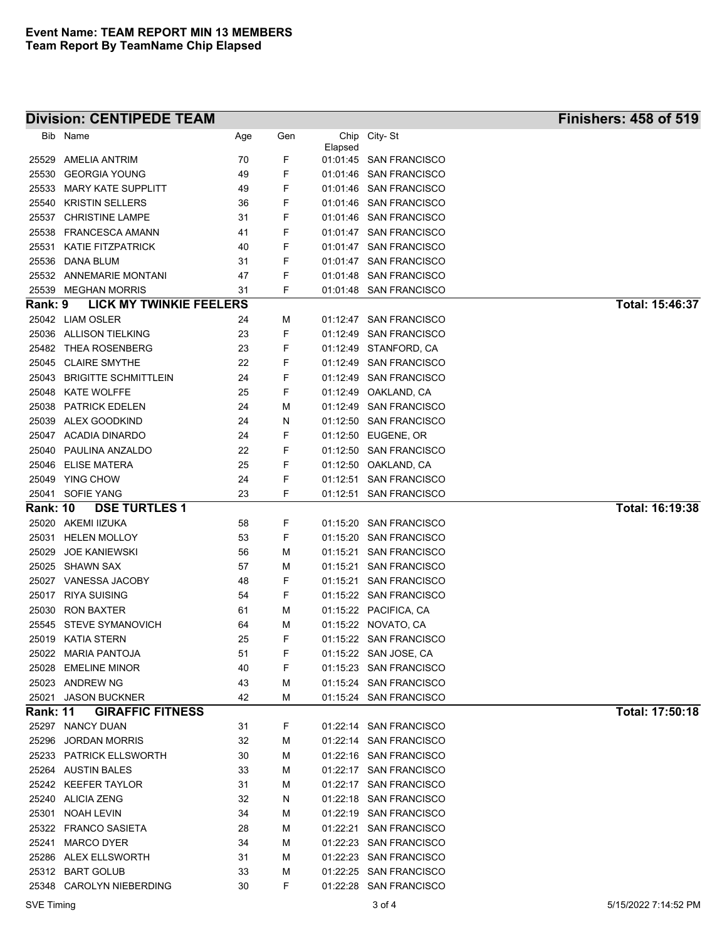## **Division: CENTIPEDE TEAM Finishers: 458 of 519**

| Bib             | Name                                  | Age      | Gen    |          | Chip City-St                                     |                 |
|-----------------|---------------------------------------|----------|--------|----------|--------------------------------------------------|-----------------|
|                 |                                       |          |        | Elapsed  |                                                  |                 |
| 25529<br>25530  | AMELIA ANTRIM<br><b>GEORGIA YOUNG</b> | 70<br>49 | F<br>F |          | 01:01:45 SAN FRANCISCO<br>01:01:46 SAN FRANCISCO |                 |
| 25533           | <b>MARY KATE SUPPLITT</b>             | 49       | F      |          | 01:01:46 SAN FRANCISCO                           |                 |
| 25540           | <b>KRISTIN SELLERS</b>                | 36       | F      |          | 01:01:46 SAN FRANCISCO                           |                 |
| 25537           | <b>CHRISTINE LAMPE</b>                | 31       | F      |          | 01:01:46 SAN FRANCISCO                           |                 |
| 25538           | <b>FRANCESCA AMANN</b>                | 41       | F      |          | 01:01:47 SAN FRANCISCO                           |                 |
| 25531           | <b>KATIE FITZPATRICK</b>              | 40       | F      |          | 01:01:47 SAN FRANCISCO                           |                 |
| 25536           | DANA BLUM                             | 31       | F      |          | 01:01:47 SAN FRANCISCO                           |                 |
| 25532           | <b>ANNEMARIE MONTANI</b>              | 47       | F      |          | 01:01:48 SAN FRANCISCO                           |                 |
|                 | 25539 MEGHAN MORRIS                   | 31       | F      |          | 01:01:48 SAN FRANCISCO                           |                 |
| Rank: 9         | <b>LICK MY TWINKIE FEELERS</b>        |          |        |          |                                                  | Total: 15:46:37 |
|                 | 25042 LIAM OSLER                      | 24       | м      |          | 01:12:47 SAN FRANCISCO                           |                 |
|                 | 25036 ALLISON TIELKING                | 23       | F      |          | 01:12:49 SAN FRANCISCO                           |                 |
|                 | 25482 THEA ROSENBERG                  | 23       | F      |          | 01:12:49 STANFORD, CA                            |                 |
| 25045           | <b>CLAIRE SMYTHE</b>                  | 22       | F      |          | 01:12:49 SAN FRANCISCO                           |                 |
| 25043           | <b>BRIGITTE SCHMITTLEIN</b>           | 24       | F      |          | 01:12:49 SAN FRANCISCO                           |                 |
| 25048           | <b>KATE WOLFFE</b>                    | 25       | F      |          | 01:12:49 OAKLAND, CA                             |                 |
| 25038           | <b>PATRICK EDELEN</b>                 | 24       | м      |          | 01:12:49 SAN FRANCISCO                           |                 |
| 25039           | <b>ALEX GOODKIND</b>                  | 24       | N      |          | 01:12:50 SAN FRANCISCO                           |                 |
|                 | 25047 ACADIA DINARDO                  | 24       | F      |          | 01:12:50 EUGENE, OR                              |                 |
| 25040           | PAULINA ANZALDO                       | 22       | F      |          | 01:12:50 SAN FRANCISCO                           |                 |
|                 | 25046 ELISE MATERA                    | 25       | F      |          | 01:12:50 OAKLAND, CA                             |                 |
| 25049           | YING CHOW                             | 24       | F      | 01:12:51 | <b>SAN FRANCISCO</b>                             |                 |
|                 | 25041 SOFIE YANG                      | 23       | F      |          | 01:12:51 SAN FRANCISCO                           |                 |
| <b>Rank: 10</b> | <b>DSE TURTLES 1</b>                  |          |        |          |                                                  | Total: 16:19:38 |
| 25020           | AKEMI IIZUKA                          | 58       | F      |          | 01:15:20 SAN FRANCISCO                           |                 |
| 25031           | <b>HELEN MOLLOY</b>                   | 53       | F      |          | 01:15:20 SAN FRANCISCO                           |                 |
| 25029           | <b>JOE KANIEWSKI</b>                  | 56       | м      |          | 01:15:21 SAN FRANCISCO                           |                 |
| 25025           | <b>SHAWN SAX</b>                      | 57       | м      | 01:15:21 | <b>SAN FRANCISCO</b>                             |                 |
| 25027           | VANESSA JACOBY                        | 48       | F      |          | 01:15:21 SAN FRANCISCO                           |                 |
| 25017           | <b>RIYA SUISING</b>                   | 54       | F      |          | 01:15:22 SAN FRANCISCO                           |                 |
| 25030           | <b>RON BAXTER</b>                     | 61       | м      |          | 01:15:22 PACIFICA, CA                            |                 |
| 25545           | <b>STEVE SYMANOVICH</b>               | 64       | м      |          | 01:15:22 NOVATO, CA                              |                 |
|                 | 25019 KATIA STERN                     | 25       | F      |          | 01:15:22 SAN FRANCISCO                           |                 |
|                 | 25022 MARIA PANTOJA                   | 51       | F      |          | 01:15:22 SAN JOSE, CA                            |                 |
|                 | 25028 EMELINE MINOR                   | 40       | F      |          | 01:15:23 SAN FRANCISCO                           |                 |
|                 | 25023 ANDREW NG                       | 43       | М      |          | 01:15:24 SAN FRANCISCO                           |                 |
| 25021           | <b>JASON BUCKNER</b>                  | 42       | М      |          | 01:15:24 SAN FRANCISCO                           |                 |
| <b>Rank: 11</b> | <b>GIRAFFIC FITNESS</b>               |          |        |          |                                                  | Total: 17:50:18 |
|                 | 25297 NANCY DUAN                      | 31       | F      |          | 01:22:14 SAN FRANCISCO                           |                 |
| 25296           | <b>JORDAN MORRIS</b>                  | 32       | м      |          | 01:22:14 SAN FRANCISCO                           |                 |
|                 | 25233 PATRICK ELLSWORTH               | 30       | M      |          | 01:22:16 SAN FRANCISCO                           |                 |
|                 | 25264 AUSTIN BALES                    | 33       | м      |          | 01:22:17 SAN FRANCISCO                           |                 |
|                 | 25242 KEEFER TAYLOR                   | 31       | м      |          | 01:22:17 SAN FRANCISCO                           |                 |
|                 | 25240 ALICIA ZENG                     | 32       | N      |          | 01:22:18 SAN FRANCISCO                           |                 |
|                 | 25301 NOAH LEVIN                      | 34       | M      |          | 01:22:19 SAN FRANCISCO                           |                 |
|                 | 25322 FRANCO SASIETA                  | 28       | м      |          | 01:22:21 SAN FRANCISCO                           |                 |
|                 | 25241 MARCO DYER                      | 34       | M      |          | 01:22:23 SAN FRANCISCO                           |                 |
|                 | 25286 ALEX ELLSWORTH                  | 31       | м      |          | 01:22:23 SAN FRANCISCO                           |                 |
|                 | 25312 BART GOLUB                      | 33       | М      |          | 01:22:25 SAN FRANCISCO                           |                 |
|                 | 25348 CAROLYN NIEBERDING              | 30       | F      |          | 01:22:28 SAN FRANCISCO                           |                 |